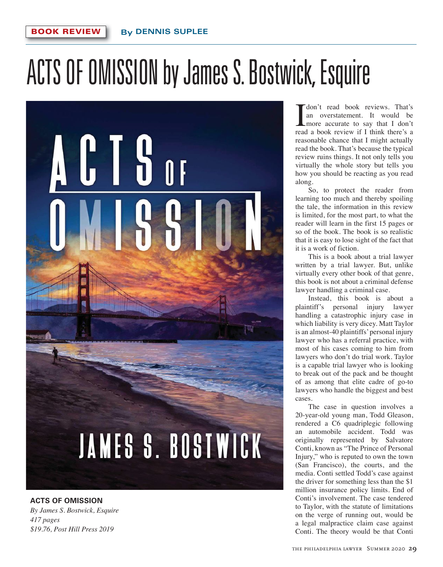## ACTS OF OMISSION by James S. Bostwick, Esquire



## **ACTS OF OMISSION**  *By James S. Bostwick, Esquire 417 pages \$19.76, Post Hill Press 2019*

**I** don't read book reviews. That's<br>an overstatement. It would be<br>more accurate to say that I don't<br>read a book review if I think there's a an overstatement. It would be more accurate to say that I don't read a book review if I think there's a reasonable chance that I might actually read the book. That's because the typical review ruins things. It not only tells you virtually the whole story but tells you how you should be reacting as you read along.

So, to protect the reader from learning too much and thereby spoiling the tale, the information in this review is limited, for the most part, to what the reader will learn in the first 15 pages or so of the book. The book is so realistic that it is easy to lose sight of the fact that it is a work of fiction.

This is a book about a trial lawyer written by a trial lawyer. But, unlike virtually every other book of that genre, this book is not about a criminal defense lawyer handling a criminal case.

Instead, this book is about a plaintiff's personal injury lawyer handling a catastrophic injury case in which liability is very dicey. Matt Taylor is an almost-40 plaintiffs' personal injury lawyer who has a referral practice, with most of his cases coming to him from lawyers who don't do trial work. Taylor is a capable trial lawyer who is looking to break out of the pack and be thought of as among that elite cadre of go-to lawyers who handle the biggest and best cases.

The case in question involves a 20-year-old young man, Todd Gleason, rendered a C6 quadriplegic following an automobile accident. Todd was originally represented by Salvatore Conti, known as "The Prince of Personal Injury," who is reputed to own the town (San Francisco), the courts, and the media. Conti settled Todd's case against the driver for something less than the \$1 million insurance policy limits. End of Conti's involvement. The case tendered to Taylor, with the statute of limitations on the verge of running out, would be a legal malpractice claim case against Conti. The theory would be that Conti